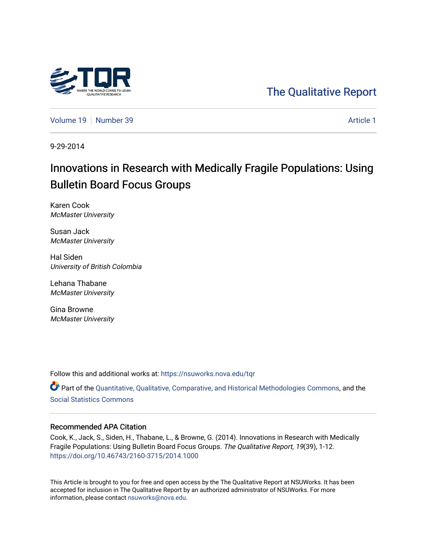

## [The Qualitative Report](https://nsuworks.nova.edu/tqr)

[Volume 19](https://nsuworks.nova.edu/tqr/vol19) [Number 39](https://nsuworks.nova.edu/tqr/vol19/iss39) [Article 1](https://nsuworks.nova.edu/tqr/vol19/iss39/1) Number 39

9-29-2014

# Innovations in Research with Medically Fragile Populations: Using Bulletin Board Focus Groups

Karen Cook McMaster University

Susan Jack McMaster University

Hal Siden University of British Colombia

Lehana Thabane McMaster University

Gina Browne McMaster University

Follow this and additional works at: [https://nsuworks.nova.edu/tqr](https://nsuworks.nova.edu/tqr?utm_source=nsuworks.nova.edu%2Ftqr%2Fvol19%2Fiss39%2F1&utm_medium=PDF&utm_campaign=PDFCoverPages) 

Part of the [Quantitative, Qualitative, Comparative, and Historical Methodologies Commons,](http://network.bepress.com/hgg/discipline/423?utm_source=nsuworks.nova.edu%2Ftqr%2Fvol19%2Fiss39%2F1&utm_medium=PDF&utm_campaign=PDFCoverPages) and the [Social Statistics Commons](http://network.bepress.com/hgg/discipline/1275?utm_source=nsuworks.nova.edu%2Ftqr%2Fvol19%2Fiss39%2F1&utm_medium=PDF&utm_campaign=PDFCoverPages) 

#### Recommended APA Citation

Cook, K., Jack, S., Siden, H., Thabane, L., & Browne, G. (2014). Innovations in Research with Medically Fragile Populations: Using Bulletin Board Focus Groups. The Qualitative Report, 19(39), 1-12. <https://doi.org/10.46743/2160-3715/2014.1000>

This Article is brought to you for free and open access by the The Qualitative Report at NSUWorks. It has been accepted for inclusion in The Qualitative Report by an authorized administrator of NSUWorks. For more information, please contact [nsuworks@nova.edu.](mailto:nsuworks@nova.edu)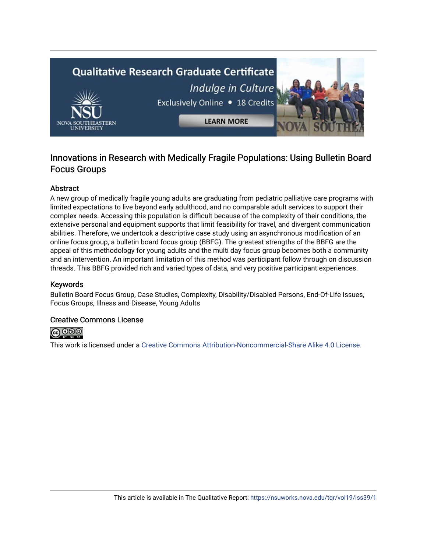# **Qualitative Research Graduate Certificate** Indulge in Culture Exclusively Online . 18 Credits **LEARN MORE**

### Innovations in Research with Medically Fragile Populations: Using Bulletin Board Focus Groups

#### Abstract

A new group of medically fragile young adults are graduating from pediatric palliative care programs with limited expectations to live beyond early adulthood, and no comparable adult services to support their complex needs. Accessing this population is difficult because of the complexity of their conditions, the extensive personal and equipment supports that limit feasibility for travel, and divergent communication abilities. Therefore, we undertook a descriptive case study using an asynchronous modification of an online focus group, a bulletin board focus group (BBFG). The greatest strengths of the BBFG are the appeal of this methodology for young adults and the multi day focus group becomes both a community and an intervention. An important limitation of this method was participant follow through on discussion threads. This BBFG provided rich and varied types of data, and very positive participant experiences.

#### Keywords

Bulletin Board Focus Group, Case Studies, Complexity, Disability/Disabled Persons, End-Of-Life Issues, Focus Groups, Illness and Disease, Young Adults

#### Creative Commons License



This work is licensed under a [Creative Commons Attribution-Noncommercial-Share Alike 4.0 License](https://creativecommons.org/licenses/by-nc-sa/4.0/).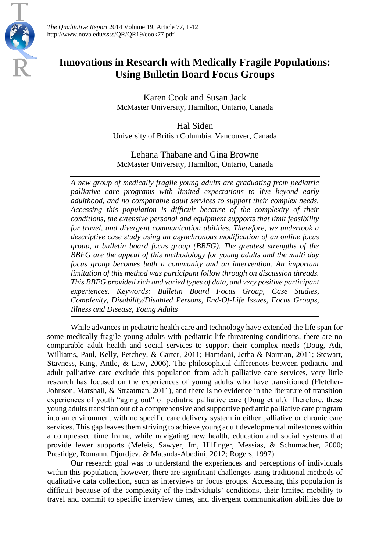

*The Qualitative Report* 2014 Volume 19, Article 77, 1-12 http://www.nova.edu/ssss/QR/QR19/cook77.pdf

## **Innovations in Research with Medically Fragile Populations: Using Bulletin Board Focus Groups**

Karen Cook and Susan Jack McMaster University, Hamilton, Ontario, Canada

Hal Siden University of British Columbia, Vancouver, Canada

Lehana Thabane and Gina Browne McMaster University, Hamilton, Ontario, Canada

*A new group of medically fragile young adults are graduating from pediatric palliative care programs with limited expectations to live beyond early adulthood, and no comparable adult services to support their complex needs. Accessing this population is difficult because of the complexity of their conditions, the extensive personal and equipment supports that limit feasibility for travel, and divergent communication abilities. Therefore, we undertook a descriptive case study using an asynchronous modification of an online focus group, a bulletin board focus group (BBFG). The greatest strengths of the BBFG are the appeal of this methodology for young adults and the multi day focus group becomes both a community and an intervention. An important limitation of this method was participant follow through on discussion threads. This BBFG provided rich and varied types of data, and very positive participant experiences. Keywords: Bulletin Board Focus Group, Case Studies, Complexity, Disability/Disabled Persons, End-Of-Life Issues, Focus Groups, Illness and Disease, Young Adults*

While advances in pediatric health care and technology have extended the life span for some medically fragile young adults with pediatric life threatening conditions, there are no comparable adult health and social services to support their complex needs (Doug, Adi, Williams, Paul, Kelly, Petchey, & Carter, 2011; Hamdani, Jetha & Norman, 2011; Stewart, Stavness, King, Antle, & Law, 2006). The philosophical differences between pediatric and adult palliative care exclude this population from adult palliative care services, very little research has focused on the experiences of young adults who have transitioned (Fletcher-Johnson, Marshall, & Straatman, 2011), and there is no evidence in the literature of transition experiences of youth "aging out" of pediatric palliative care (Doug et al.). Therefore, these young adults transition out of a comprehensive and supportive pediatric palliative care program into an environment with no specific care delivery system in either palliative or chronic care services. This gap leaves them striving to achieve young adult developmental milestones within a compressed time frame, while navigating new health, education and social systems that provide fewer supports (Meleis, Sawyer, Im, Hilfinger, Messias, & Schumacher, 2000; Prestidge, Romann, Djurdjev, & Matsuda-Abedini, 2012; Rogers, 1997).

Our research goal was to understand the experiences and perceptions of individuals within this population, however, there are significant challenges using traditional methods of qualitative data collection, such as interviews or focus groups. Accessing this population is difficult because of the complexity of the individuals' conditions, their limited mobility to travel and commit to specific interview times, and divergent communication abilities due to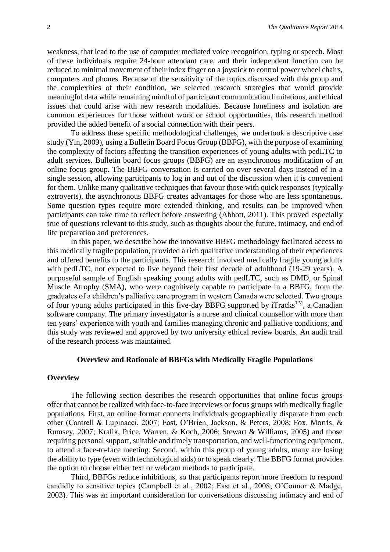weakness, that lead to the use of computer mediated voice recognition, typing or speech. Most of these individuals require 24-hour attendant care, and their independent function can be reduced to minimal movement of their index finger on a joystick to control power wheel chairs, computers and phones. Because of the sensitivity of the topics discussed with this group and the complexities of their condition, we selected research strategies that would provide meaningful data while remaining mindful of participant communication limitations, and ethical issues that could arise with new research modalities. Because loneliness and isolation are common experiences for those without work or school opportunities, this research method provided the added benefit of a social connection with their peers.

To address these specific methodological challenges, we undertook a descriptive case study (Yin, 2009), using a Bulletin Board Focus Group (BBFG), with the purpose of examining the complexity of factors affecting the transition experiences of young adults with pedLTC to adult services. Bulletin board focus groups (BBFG) are an asynchronous modification of an online focus group. The BBFG conversation is carried on over several days instead of in a single session, allowing participants to log in and out of the discussion when it is convenient for them. Unlike many qualitative techniques that favour those with quick responses (typically extroverts), the asynchronous BBFG creates advantages for those who are less spontaneous. Some question types require more extended thinking, and results can be improved when participants can take time to reflect before answering (Abbott, 2011). This proved especially true of questions relevant to this study, such as thoughts about the future, intimacy, and end of life preparation and preferences.

In this paper, we describe how the innovative BBFG methodology facilitated access to this medically fragile population, provided a rich qualitative understanding of their experiences and offered benefits to the participants. This research involved medically fragile young adults with pedLTC, not expected to live beyond their first decade of adulthood (19-29 years). A purposeful sample of English speaking young adults with pedLTC, such as DMD, or Spinal Muscle Atrophy (SMA), who were cognitively capable to participate in a BBFG, from the graduates of a children's palliative care program in western Canada were selected. Two groups of four young adults participated in this five-day BBFG supported by iTracks<sup>TM</sup>, a Canadian software company. The primary investigator is a nurse and clinical counsellor with more than ten years' experience with youth and families managing chronic and palliative conditions, and this study was reviewed and approved by two university ethical review boards. An audit trail of the research process was maintained.

#### **Overview and Rationale of BBFGs with Medically Fragile Populations**

#### **Overview**

The following section describes the research opportunities that online focus groups offer that cannot be realized with face-to-face interviews or focus groups with medically fragile populations. First, an online format connects individuals geographically disparate from each other (Cantrell & Lupinacci, 2007; East, O'Brien, Jackson, & Peters, 2008; Fox, Morris, & Rumsey, 2007; Kralik, Price, Warren, & Koch, 2006; Stewart & Williams, 2005) and those requiring personal support, suitable and timely transportation, and well-functioning equipment, to attend a face-to-face meeting. Second, within this group of young adults, many are losing the ability to type (even with technological aids) or to speak clearly. The BBFG format provides the option to choose either text or webcam methods to participate.

Third, BBFGs reduce inhibitions, so that participants report more freedom to respond candidly to sensitive topics (Campbell et al., 2002; East et al., 2008; O'Connor & Madge, 2003). This was an important consideration for conversations discussing intimacy and end of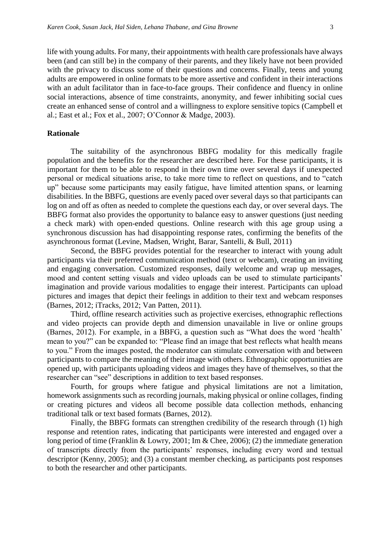life with young adults. For many, their appointments with health care professionals have always been (and can still be) in the company of their parents, and they likely have not been provided with the privacy to discuss some of their questions and concerns. Finally, teens and young adults are empowered in online formats to be more assertive and confident in their interactions with an adult facilitator than in face-to-face groups. Their confidence and fluency in online social interactions, absence of time constraints, anonymity, and fewer inhibiting social cues create an enhanced sense of control and a willingness to explore sensitive topics (Campbell et al.; East et al.; Fox et al., 2007; O'Connor & Madge, 2003).

#### **Rationale**

The suitability of the asynchronous BBFG modality for this medically fragile population and the benefits for the researcher are described here. For these participants, it is important for them to be able to respond in their own time over several days if unexpected personal or medical situations arise, to take more time to reflect on questions, and to "catch up" because some participants may easily fatigue, have limited attention spans, or learning disabilities. In the BBFG, questions are evenly paced over several days so that participants can log on and off as often as needed to complete the questions each day, or over several days. The BBFG format also provides the opportunity to balance easy to answer questions (just needing a check mark) with open-ended questions. Online research with this age group using a synchronous discussion has had disappointing response rates, confirming the benefits of the asynchronous format (Levine, Madsen, Wright, Barar, Santelli, & Bull, 2011)

Second, the BBFG provides potential for the researcher to interact with young adult participants via their preferred communication method (text or webcam), creating an inviting and engaging conversation. Customized responses, daily welcome and wrap up messages, mood and content setting visuals and video uploads can be used to stimulate participants' imagination and provide various modalities to engage their interest. Participants can upload pictures and images that depict their feelings in addition to their text and webcam responses (Barnes, 2012; iTracks, 2012; Van Patten, 2011).

Third, offline research activities such as projective exercises, ethnographic reflections and video projects can provide depth and dimension unavailable in live or online groups (Barnes, 2012). For example, in a BBFG, a question such as "What does the word 'health' mean to you?" can be expanded to: "Please find an image that best reflects what health means to you." From the images posted, the moderator can stimulate conversation with and between participants to compare the meaning of their image with others. Ethnographic opportunities are opened up, with participants uploading videos and images they have of themselves, so that the researcher can "see" descriptions in addition to text based responses.

Fourth, for groups where fatigue and physical limitations are not a limitation, homework assignments such as recording journals, making physical or online collages, finding or creating pictures and videos all become possible data collection methods, enhancing traditional talk or text based formats (Barnes, 2012).

Finally, the BBFG formats can strengthen credibility of the research through (1) high response and retention rates, indicating that participants were interested and engaged over a long period of time (Franklin & Lowry, 2001; Im & Chee, 2006); (2) the immediate generation of transcripts directly from the participants' responses, including every word and textual descriptor (Kenny, 2005); and (3) a constant member checking, as participants post responses to both the researcher and other participants.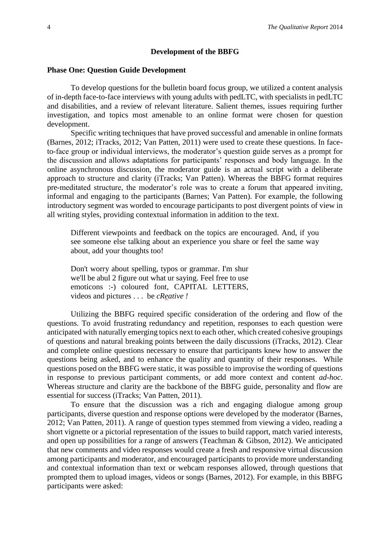#### **Development of the BBFG**

#### **Phase One: Question Guide Development**

To develop questions for the bulletin board focus group, we utilized a content analysis of in-depth face-to-face interviews with young adults with pedLTC, with specialists in pedLTC and disabilities, and a review of relevant literature. Salient themes, issues requiring further investigation, and topics most amenable to an online format were chosen for question development.

Specific writing techniques that have proved successful and amenable in online formats (Barnes, 2012; iTracks, 2012; Van Patten, 2011) were used to create these questions. In faceto-face group or individual interviews, the moderator's question guide serves as a prompt for the discussion and allows adaptations for participants' responses and body language. In the online asynchronous discussion, the moderator guide is an actual script with a deliberate approach to structure and clarity (iTracks; Van Patten). Whereas the BBFG format requires pre-meditated structure, the moderator's role was to create a forum that appeared inviting, informal and engaging to the participants (Barnes; Van Patten). For example, the following introductory segment was worded to encourage participants to post divergent points of view in all writing styles, providing contextual information in addition to the text.

Different viewpoints and feedback on the topics are encouraged. And, if you see someone else talking about an experience you share or feel the same way about, add your thoughts too!

Don't worry about spelling, typos or grammar. I'm shur we'll be abul 2 figure out what ur saying. Feel free to use emoticons :-) coloured font, CAPITAL LETTERS, videos and pictures . . . be *cReative !*

Utilizing the BBFG required specific consideration of the ordering and flow of the questions. To avoid frustrating redundancy and repetition, responses to each question were anticipated with naturally emerging topics next to each other, which created cohesive groupings of questions and natural breaking points between the daily discussions (iTracks, 2012). Clear and complete online questions necessary to ensure that participants knew how to answer the questions being asked, and to enhance the quality and quantity of their responses. While questions posed on the BBFG were static, it was possible to improvise the wording of questions in response to previous participant comments, or add more context and content *ad-hoc*. Whereas structure and clarity are the backbone of the BBFG guide, personality and flow are essential for success (iTracks; Van Patten, 2011).

To ensure that the discussion was a rich and engaging dialogue among group participants, diverse question and response options were developed by the moderator (Barnes, 2012; Van Patten, 2011). A range of question types stemmed from viewing a video, reading a short vignette or a pictorial representation of the issues to build rapport, match varied interests, and open up possibilities for a range of answers (Teachman & Gibson, 2012). We anticipated that new comments and video responses would create a fresh and responsive virtual discussion among participants and moderator, and encouraged participants to provide more understanding and contextual information than text or webcam responses allowed, through questions that prompted them to upload images, videos or songs (Barnes, 2012). For example, in this BBFG participants were asked: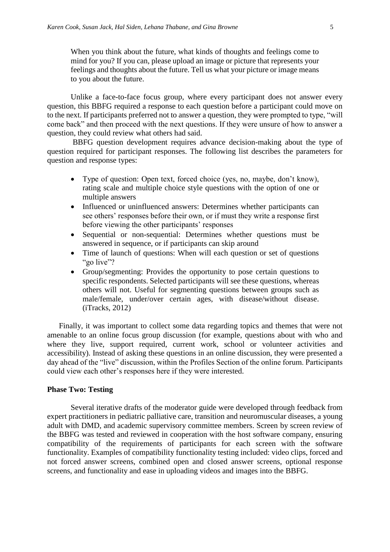When you think about the future, what kinds of thoughts and feelings come to mind for you? If you can, please upload an image or picture that represents your feelings and thoughts about the future. Tell us what your picture or image means to you about the future.

Unlike a face-to-face focus group, where every participant does not answer every question, this BBFG required a response to each question before a participant could move on to the next. If participants preferred not to answer a question, they were prompted to type, "will come back" and then proceed with the next questions. If they were unsure of how to answer a question, they could review what others had said.

BBFG question development requires advance decision-making about the type of question required for participant responses. The following list describes the parameters for question and response types:

- Type of question: Open text, forced choice (yes, no, maybe, don't know), rating scale and multiple choice style questions with the option of one or multiple answers
- Influenced or uninfluenced answers: Determines whether participants can see others' responses before their own, or if must they write a response first before viewing the other participants' responses
- Sequential or non-sequential: Determines whether questions must be answered in sequence, or if participants can skip around
- Time of launch of questions: When will each question or set of questions "go live"?
- Group/segmenting: Provides the opportunity to pose certain questions to specific respondents. Selected participants will see these questions, whereas others will not. Useful for segmenting questions between groups such as male/female, under/over certain ages, with disease/without disease. (iTracks, 2012)

Finally, it was important to collect some data regarding topics and themes that were not amenable to an online focus group discussion (for example, questions about with who and where they live, support required, current work, school or volunteer activities and accessibility). Instead of asking these questions in an online discussion, they were presented a day ahead of the "live" discussion, within the Profiles Section of the online forum. Participants could view each other's responses here if they were interested.

#### **Phase Two: Testing**

Several iterative drafts of the moderator guide were developed through feedback from expert practitioners in pediatric palliative care, transition and neuromuscular diseases, a young adult with DMD, and academic supervisory committee members. Screen by screen review of the BBFG was tested and reviewed in cooperation with the host software company, ensuring compatibility of the requirements of participants for each screen with the software functionality. Examples of compatibility functionality testing included: video clips, forced and not forced answer screens, combined open and closed answer screens, optional response screens, and functionality and ease in uploading videos and images into the BBFG.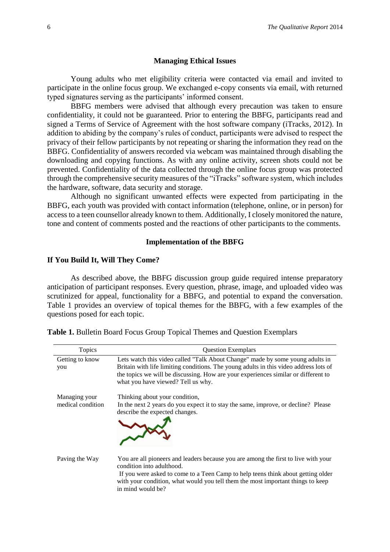#### **Managing Ethical Issues**

Young adults who met eligibility criteria were contacted via email and invited to participate in the online focus group. We exchanged e-copy consents via email, with returned typed signatures serving as the participants' informed consent.

BBFG members were advised that although every precaution was taken to ensure confidentiality, it could not be guaranteed. Prior to entering the BBFG, participants read and signed a Terms of Service of Agreement with the host software company (iTracks, 2012). In addition to abiding by the company's rules of conduct, participants were advised to respect the privacy of their fellow participants by not repeating or sharing the information they read on the BBFG. Confidentiality of answers recorded via webcam was maintained through disabling the downloading and copying functions. As with any online activity, screen shots could not be prevented. Confidentiality of the data collected through the online focus group was protected through the comprehensive security measures of the "iTracks" software system, which includes the hardware, software, data security and storage.

Although no significant unwanted effects were expected from participating in the BBFG, each youth was provided with contact information (telephone, online, or in person) for access to a teen counsellor already known to them. Additionally, I closely monitored the nature, tone and content of comments posted and the reactions of other participants to the comments.

#### **Implementation of the BBFG**

#### **If You Build It, Will They Come?**

As described above, the BBFG discussion group guide required intense preparatory anticipation of participant responses. Every question, phrase, image, and uploaded video was scrutinized for appeal, functionality for a BBFG, and potential to expand the conversation. Table 1 provides an overview of topical themes for the BBFG, with a few examples of the questions posed for each topic.

| Topics                             | <b>Question Exemplars</b>                                                                                                                                                                                                                                                                                   |  |  |
|------------------------------------|-------------------------------------------------------------------------------------------------------------------------------------------------------------------------------------------------------------------------------------------------------------------------------------------------------------|--|--|
| Getting to know<br>you             | Lets watch this video called "Talk About Change" made by some young adults in<br>Britain with life limiting conditions. The young adults in this video address lots of<br>the topics we will be discussing. How are your experiences similar or different to<br>what you have viewed? Tell us why.          |  |  |
| Managing your<br>medical condition | Thinking about your condition,<br>In the next 2 years do you expect it to stay the same, improve, or decline? Please<br>describe the expected changes.                                                                                                                                                      |  |  |
| Paving the Way                     | You are all pioneers and leaders because you are among the first to live with your<br>condition into adulthood.<br>If you were asked to come to a Teen Camp to help teens think about getting older<br>with your condition, what would you tell them the most important things to keep<br>in mind would be? |  |  |

| Table 1. Bulletin Board Focus Group Topical Themes and Question Exemplars |  |  |  |
|---------------------------------------------------------------------------|--|--|--|
|---------------------------------------------------------------------------|--|--|--|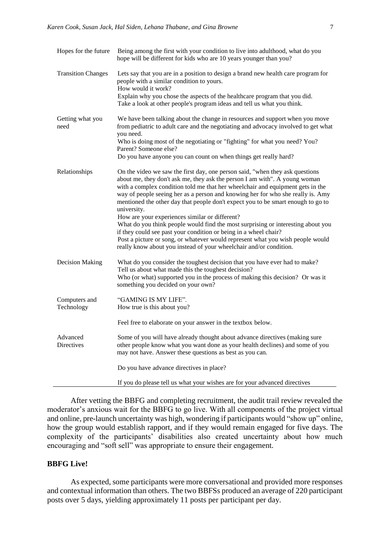| Hopes for the future        | Being among the first with your condition to live into adulthood, what do you<br>hope will be different for kids who are 10 years younger than you?                                                                                                                                                                                                                                                                                |  |
|-----------------------------|------------------------------------------------------------------------------------------------------------------------------------------------------------------------------------------------------------------------------------------------------------------------------------------------------------------------------------------------------------------------------------------------------------------------------------|--|
| <b>Transition Changes</b>   | Lets say that you are in a position to design a brand new health care program for<br>people with a similar condition to yours.<br>How would it work?                                                                                                                                                                                                                                                                               |  |
|                             | Explain why you chose the aspects of the healthcare program that you did.<br>Take a look at other people's program ideas and tell us what you think.                                                                                                                                                                                                                                                                               |  |
| Getting what you<br>need    | We have been talking about the change in resources and support when you move<br>from pediatric to adult care and the negotiating and advocacy involved to get what<br>you need.                                                                                                                                                                                                                                                    |  |
|                             | Who is doing most of the negotiating or "fighting" for what you need? You?<br>Parent? Someone else?                                                                                                                                                                                                                                                                                                                                |  |
|                             | Do you have anyone you can count on when things get really hard?                                                                                                                                                                                                                                                                                                                                                                   |  |
| Relationships               | On the video we saw the first day, one person said, "when they ask questions<br>about me, they don't ask me, they ask the person I am with". A young woman<br>with a complex condition told me that her wheelchair and equipment gets in the<br>way of people seeing her as a person and knowing her for who she really is. Amy<br>mentioned the other day that people don't expect you to be smart enough to go to<br>university. |  |
|                             | How are your experiences similar or different?<br>What do you think people would find the most surprising or interesting about you<br>if they could see past your condition or being in a wheel chair?<br>Post a picture or song, or whatever would represent what you wish people would<br>really know about you instead of your wheelchair and/or condition.                                                                     |  |
| <b>Decision Making</b>      | What do you consider the toughest decision that you have ever had to make?<br>Tell us about what made this the toughest decision?<br>Who (or what) supported you in the process of making this decision? Or was it<br>something you decided on your own?                                                                                                                                                                           |  |
| Computers and<br>Technology | "GAMING IS MY LIFE".<br>How true is this about you?                                                                                                                                                                                                                                                                                                                                                                                |  |
|                             | Feel free to elaborate on your answer in the textbox below.                                                                                                                                                                                                                                                                                                                                                                        |  |
| Advanced<br>Directives      | Some of you will have already thought about advance directives (making sure<br>other people know what you want done as your health declines) and some of you<br>may not have. Answer these questions as best as you can.                                                                                                                                                                                                           |  |
|                             | Do you have advance directives in place?                                                                                                                                                                                                                                                                                                                                                                                           |  |
|                             | If you do please tell us what your wishes are for your advanced directives                                                                                                                                                                                                                                                                                                                                                         |  |

After vetting the BBFG and completing recruitment, the audit trail review revealed the moderator's anxious wait for the BBFG to go live. With all components of the project virtual and online, pre-launch uncertainty was high, wondering if participants would "show up" online, how the group would establish rapport, and if they would remain engaged for five days. The complexity of the participants' disabilities also created uncertainty about how much encouraging and "soft sell" was appropriate to ensure their engagement.

#### **BBFG Live!**

As expected, some participants were more conversational and provided more responses and contextual information than others. The two BBFSs produced an average of 220 participant posts over 5 days, yielding approximately 11 posts per participant per day.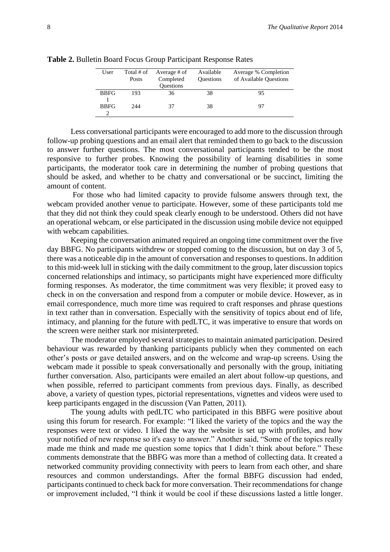| User        | Total # of | Average # of     | Available        | Average % Completion   |
|-------------|------------|------------------|------------------|------------------------|
|             | Posts      | Completed        | <b>Questions</b> | of Available Questions |
|             |            | <b>Ouestions</b> |                  |                        |
| <b>BBFG</b> | 193        | 36               | 38               | 95                     |
|             |            |                  |                  |                        |
| <b>BBFG</b> | 244        | 37               | 38               | 97                     |
|             |            |                  |                  |                        |

**Table 2.** Bulletin Board Focus Group Participant Response Rates

Less conversational participants were encouraged to add more to the discussion through follow-up probing questions and an email alert that reminded them to go back to the discussion to answer further questions. The most conversational participants tended to be the most responsive to further probes. Knowing the possibility of learning disabilities in some participants, the moderator took care in determining the number of probing questions that should be asked, and whether to be chatty and conversational or be succinct, limiting the amount of content.

For those who had limited capacity to provide fulsome answers through text, the webcam provided another venue to participate. However, some of these participants told me that they did not think they could speak clearly enough to be understood. Others did not have an operational webcam, or else participated in the discussion using mobile device not equipped with webcam capabilities.

Keeping the conversation animated required an ongoing time commitment over the five day BBFG. No participants withdrew or stopped coming to the discussion, but on day 3 of 5, there was a noticeable dip in the amount of conversation and responses to questions. In addition to this mid-week lull in sticking with the daily commitment to the group, later discussion topics concerned relationships and intimacy, so participants might have experienced more difficulty forming responses. As moderator, the time commitment was very flexible; it proved easy to check in on the conversation and respond from a computer or mobile device. However, as in email correspondence, much more time was required to craft responses and phrase questions in text rather than in conversation. Especially with the sensitivity of topics about end of life, intimacy, and planning for the future with pedLTC, it was imperative to ensure that words on the screen were neither stark nor misinterpreted.

The moderator employed several strategies to maintain animated participation. Desired behaviour was rewarded by thanking participants publicly when they commented on each other's posts or gave detailed answers, and on the welcome and wrap-up screens. Using the webcam made it possible to speak conversationally and personally with the group, initiating further conversation. Also, participants were emailed an alert about follow-up questions, and when possible, referred to participant comments from previous days. Finally, as described above, a variety of question types, pictorial representations, vignettes and videos were used to keep participants engaged in the discussion (Van Patten, 2011).

The young adults with pedLTC who participated in this BBFG were positive about using this forum for research. For example: "I liked the variety of the topics and the way the responses were text or video. I liked the way the website is set up with profiles, and how your notified of new response so it's easy to answer." Another said, "Some of the topics really made me think and made me question some topics that I didn't think about before." These comments demonstrate that the BBFG was more than a method of collecting data. It created a networked community providing connectivity with peers to learn from each other, and share resources and common understandings. After the formal BBFG discussion had ended, participants continued to check back for more conversation. Their recommendations for change or improvement included, "I think it would be cool if these discussions lasted a little longer.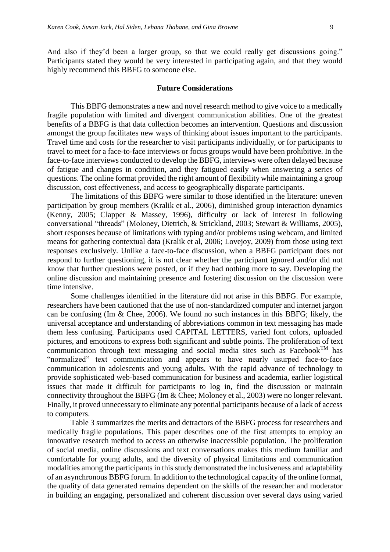And also if they'd been a larger group, so that we could really get discussions going." Participants stated they would be very interested in participating again, and that they would highly recommend this BBFG to someone else.

#### **Future Considerations**

This BBFG demonstrates a new and novel research method to give voice to a medically fragile population with limited and divergent communication abilities. One of the greatest benefits of a BBFG is that data collection becomes an intervention. Questions and discussion amongst the group facilitates new ways of thinking about issues important to the participants. Travel time and costs for the researcher to visit participants individually, or for participants to travel to meet for a face-to-face interviews or focus groups would have been prohibitive. In the face-to-face interviews conducted to develop the BBFG, interviews were often delayed because of fatigue and changes in condition, and they fatigued easily when answering a series of questions. The online format provided the right amount of flexibility while maintaining a group discussion, cost effectiveness, and access to geographically disparate participants.

The limitations of this BBFG were similar to those identified in the literature: uneven participation by group members (Kralik et al., 2006), diminished group interaction dynamics (Kenny, 2005; Clapper & Massey, 1996), difficulty or lack of interest in following conversational "threads" (Moloney, Dietrich, & Strickland, 2003; Stewart & Williams, 2005), short responses because of limitations with typing and/or problems using webcam, and limited means for gathering contextual data (Kralik et al, 2006; Lovejoy, 2009) from those using text responses exclusively. Unlike a face-to-face discussion, when a BBFG participant does not respond to further questioning, it is not clear whether the participant ignored and/or did not know that further questions were posted, or if they had nothing more to say. Developing the online discussion and maintaining presence and fostering discussion on the discussion were time intensive.

Some challenges identified in the literature did not arise in this BBFG. For example, researchers have been cautioned that the use of non-standardized computer and internet jargon can be confusing (Im & Chee, 2006). We found no such instances in this BBFG; likely, the universal acceptance and understanding of abbreviations common in text messaging has made them less confusing. Participants used CAPITAL LETTERS, varied font colors, uploaded pictures, and emoticons to express both significant and subtle points. The proliferation of text communication through text messaging and social media sites such as Facebook<sup>TM</sup> has "normalized" text communication and appears to have nearly usurped face-to-face communication in adolescents and young adults. With the rapid advance of technology to provide sophisticated web-based communication for business and academia, earlier logistical issues that made it difficult for participants to log in, find the discussion or maintain connectivity throughout the BBFG (Im & Chee; Moloney et al., 2003) were no longer relevant. Finally, it proved unnecessary to eliminate any potential participants because of a lack of access to computers.

Table 3 summarizes the merits and detractors of the BBFG process for researchers and medically fragile populations. This paper describes one of the first attempts to employ an innovative research method to access an otherwise inaccessible population. The proliferation of social media, online discussions and text conversations makes this medium familiar and comfortable for young adults, and the diversity of physical limitations and communication modalities among the participants in this study demonstrated the inclusiveness and adaptability of an asynchronous BBFG forum. In addition to the technological capacity of the online format, the quality of data generated remains dependent on the skills of the researcher and moderator in building an engaging, personalized and coherent discussion over several days using varied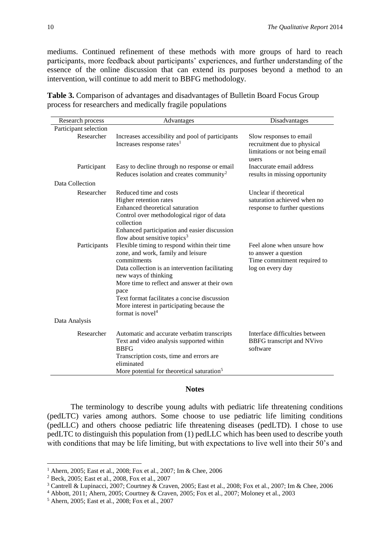mediums. Continued refinement of these methods with more groups of hard to reach participants, more feedback about participants' experiences, and further understanding of the essence of the online discussion that can extend its purposes beyond a method to an intervention, will continue to add merit to BBFG methodology.

| Research process      | Advantages                                                                                                                                                                                                                                                                                                                                                         | Disadvantages                                                                                         |
|-----------------------|--------------------------------------------------------------------------------------------------------------------------------------------------------------------------------------------------------------------------------------------------------------------------------------------------------------------------------------------------------------------|-------------------------------------------------------------------------------------------------------|
| Participant selection |                                                                                                                                                                                                                                                                                                                                                                    |                                                                                                       |
| Researcher            | Increases accessibility and pool of participants<br>Increases response rates <sup>1</sup>                                                                                                                                                                                                                                                                          | Slow responses to email<br>recruitment due to physical<br>limitations or not being email<br>users     |
| Participant           | Easy to decline through no response or email<br>Reduces isolation and creates community <sup>2</sup>                                                                                                                                                                                                                                                               | Inaccurate email address<br>results in missing opportunity                                            |
| Data Collection       |                                                                                                                                                                                                                                                                                                                                                                    |                                                                                                       |
| Researcher            | Reduced time and costs<br>Higher retention rates<br>Enhanced theoretical saturation<br>Control over methodological rigor of data<br>collection<br>Enhanced participation and easier discussion<br>flow about sensitive topics <sup>3</sup>                                                                                                                         | Unclear if theoretical<br>saturation achieved when no<br>response to further questions                |
| Participants          | Flexible timing to respond within their time<br>zone, and work, family and leisure<br>commitments<br>Data collection is an intervention facilitating<br>new ways of thinking<br>More time to reflect and answer at their own<br>pace<br>Text format facilitates a concise discussion<br>More interest in participating because the<br>format is novel <sup>4</sup> | Feel alone when unsure how<br>to answer a question<br>Time commitment required to<br>log on every day |
| Data Analysis         |                                                                                                                                                                                                                                                                                                                                                                    |                                                                                                       |
| Researcher            | Automatic and accurate verbatim transcripts<br>Text and video analysis supported within<br><b>BBFG</b><br>Transcription costs, time and errors are<br>eliminated<br>More potential for theoretical saturation <sup>5</sup>                                                                                                                                         | Interface difficulties between<br>BBFG transcript and NVivo<br>software                               |

**Table 3.** Comparison of advantages and disadvantages of Bulletin Board Focus Group process for researchers and medically fragile populations

#### **Notes**

The terminology to describe young adults with pediatric life threatening conditions (pedLTC) varies among authors. Some choose to use pediatric life limiting conditions (pedLLC) and others choose pediatric life threatening diseases (pedLTD). I chose to use pedLTC to distinguish this population from (1) pedLLC which has been used to describe youth with conditions that may be life limiting, but with expectations to live well into their 50's and

**.** 

<sup>1</sup> Ahern, 2005; East et al., 2008; Fox et al., 2007; Im & Chee, 2006

<sup>2</sup> Beck, 2005; East et al., 2008, Fox et al., 2007

<sup>3</sup> Cantrell & Lupinacci, 2007; Courtney & Craven, 2005; East et al., 2008; Fox et al., 2007; Im & Chee, 2006

<sup>4</sup> Abbott, 2011; Ahern, 2005; Courtney & Craven, 2005; Fox et al., 2007; Moloney et al., 2003

<sup>5</sup> Ahern, 2005; East et al., 2008; Fox et al., 2007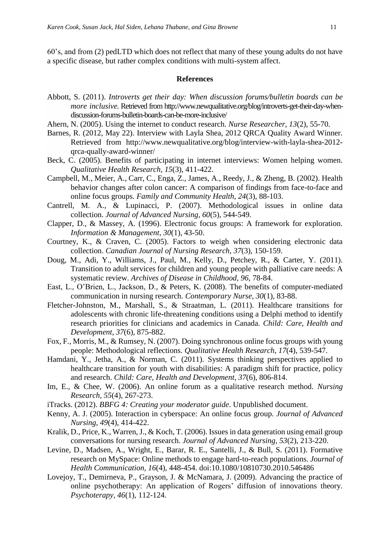60's, and from (2) pedLTD which does not reflect that many of these young adults do not have a specific disease, but rather complex conditions with multi-system affect.

#### **References**

- Abbott, S. (2011). *Introverts get their day: When discussion forums/bulletin boards can be more inclusive.* Retrieved from http://www.newqualitative.org/blog/introverts-get-their-day-whendiscussion-forums-bulletin-boards-can-be-more-inclusive/
- Ahern, N. (2005). Using the internet to conduct research. *Nurse Researcher, 13*(2), 55-70.
- Barnes, R. (2012, May 22). Interview with Layla Shea, 2012 QRCA Quality Award Winner. Retrieved from http://www.newqualitative.org/blog/interview-with-layla-shea-2012 qrca-qually-award-winner/
- Beck, C. (2005). Benefits of participating in internet interviews: Women helping women. *Qualitative Health Research, 15*(3), 411-422.
- Campbell, M., Meier, A., Carr, C., Enga, Z., James, A., Reedy, J., & Zheng, B. (2002). Health behavior changes after colon cancer: A comparison of findings from face-to-face and online focus groups. *Family and Community Health, 24*(3), 88-103.
- Cantrell, M. A., & Lupinacci, P. (2007). Methodological issues in online data collection. *Journal of Advanced Nursing, 60*(5), 544-549.
- Clapper, D., & Massey, A. (1996). Electronic focus groups: A framework for exploration. *Information & Management, 30*(1), 43-50.
- Courtney, K., & Craven, C. (2005). Factors to weigh when considering electronic data collection. *Canadian Journal of Nursing Research, 37*(3), 150-159.
- Doug, M., Adi, Y., Williams, J., Paul, M., Kelly, D., Petchey, R., & Carter, Y. (2011). Transition to adult services for children and young people with palliative care needs: A systematic review. *Archives of Disease in Childhood, 96,* 78-84.
- East, L., O'Brien, L., Jackson, D., & Peters, K. (2008). The benefits of computer-mediated communication in nursing research. *Contemporary Nurse, 30*(1), 83-88.
- Fletcher-Johnston, M., Marshall, S., & Straatman, L. (2011). Healthcare transitions for adolescents with chronic life-threatening conditions using a Delphi method to identify research priorities for clinicians and academics in Canada. *Child: Care, Health and Development, 37*(6), 875-882.
- Fox, F., Morris, M., & Rumsey, N. (2007). Doing synchronous online focus groups with young people: Methodological reflections. *Qualitative Health Research, 17*(4), 539-547.
- Hamdani, Y., Jetha, A., & Norman, C. (2011). Systems thinking perspectives applied to healthcare transition for youth with disabilities: A paradigm shift for practice, policy and research. *Child: Care, Health and Development, 37*(6), 806-814.
- Im, E., & Chee, W. (2006). An online forum as a qualitative research method. *Nursing Research, 55*(4), 267-273.
- iTracks. (2012). *BBFG 4: Creating your moderator guide*. Unpublished document.
- Kenny, A. J. (2005). Interaction in cyberspace: An online focus group. *Journal of Advanced Nursing, 49*(4), 414-422.
- Kralik, D., Price, K., Warren, J., & Koch, T. (2006). Issues in data generation using email group conversations for nursing research. *Journal of Advanced Nursing, 53*(2), 213-220.
- Levine, D., Madsen, A., Wright, E., Barar, R. E., Santelli, J., & Bull, S. (2011). Formative research on MySpace: Online methods to engage hard-to-reach populations. *Journal of Health Communication, 16*(4), 448-454. doi:10.1080/10810730.2010.546486
- Lovejoy, T., Demirneva, P., Grayson, J. & McNamara, J. (2009). Advancing the practice of online psychotherapy: An application of Rogers' diffusion of innovations theory. *Psychoterapy, 46*(1), 112-124.